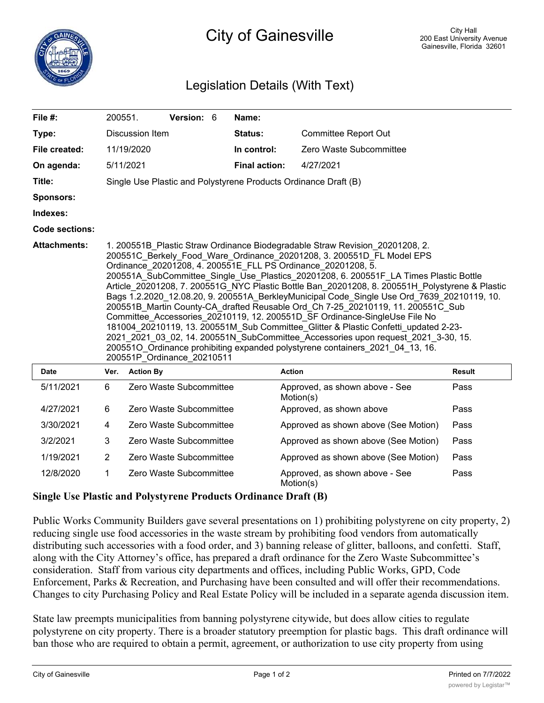

## City of Gainesville

## Legislation Details (With Text)

| File #:               | 200551.                                                                                                                                                                                                                                                                                                                                                                                                                                                                                                                                                                                                                                                                                                                                                                                                                                                                                                                                                                    |                  | Version: 6              |  | Name:                |                                             |        |
|-----------------------|----------------------------------------------------------------------------------------------------------------------------------------------------------------------------------------------------------------------------------------------------------------------------------------------------------------------------------------------------------------------------------------------------------------------------------------------------------------------------------------------------------------------------------------------------------------------------------------------------------------------------------------------------------------------------------------------------------------------------------------------------------------------------------------------------------------------------------------------------------------------------------------------------------------------------------------------------------------------------|------------------|-------------------------|--|----------------------|---------------------------------------------|--------|
| Type:                 | Discussion Item                                                                                                                                                                                                                                                                                                                                                                                                                                                                                                                                                                                                                                                                                                                                                                                                                                                                                                                                                            |                  |                         |  | <b>Status:</b>       | <b>Committee Report Out</b>                 |        |
| File created:         |                                                                                                                                                                                                                                                                                                                                                                                                                                                                                                                                                                                                                                                                                                                                                                                                                                                                                                                                                                            | 11/19/2020       |                         |  | In control:          | Zero Waste Subcommittee                     |        |
| On agenda:            |                                                                                                                                                                                                                                                                                                                                                                                                                                                                                                                                                                                                                                                                                                                                                                                                                                                                                                                                                                            | 5/11/2021        |                         |  | <b>Final action:</b> | 4/27/2021                                   |        |
| Title:                | Single Use Plastic and Polystyrene Products Ordinance Draft (B)                                                                                                                                                                                                                                                                                                                                                                                                                                                                                                                                                                                                                                                                                                                                                                                                                                                                                                            |                  |                         |  |                      |                                             |        |
| <b>Sponsors:</b>      |                                                                                                                                                                                                                                                                                                                                                                                                                                                                                                                                                                                                                                                                                                                                                                                                                                                                                                                                                                            |                  |                         |  |                      |                                             |        |
| Indexes:              |                                                                                                                                                                                                                                                                                                                                                                                                                                                                                                                                                                                                                                                                                                                                                                                                                                                                                                                                                                            |                  |                         |  |                      |                                             |        |
| <b>Code sections:</b> |                                                                                                                                                                                                                                                                                                                                                                                                                                                                                                                                                                                                                                                                                                                                                                                                                                                                                                                                                                            |                  |                         |  |                      |                                             |        |
| <b>Attachments:</b>   | 1. 200551B Plastic Straw Ordinance Biodegradable Straw Revision 20201208, 2.<br>200551C Berkely Food Ware Ordinance 20201208, 3. 200551D FL Model EPS<br>Ordinance 20201208, 4. 200551E FLL PS Ordinance 20201208, 5.<br>200551A_SubCommittee_Single_Use_Plastics_20201208, 6. 200551F_LA Times Plastic Bottle<br>Article 20201208, 7. 200551G NYC Plastic Bottle Ban 20201208, 8. 200551H Polystyrene & Plastic<br>Bags 1.2.2020_12.08.20, 9. 200551A_BerkleyMunicipal Code_Single Use Ord_7639_20210119, 10.<br>200551B Martin County-CA_drafted Reusable Ord_Ch 7-25_20210119, 11. 200551C_Sub<br>Committee Accessories 20210119, 12. 200551D SF Ordinance-SingleUse File No<br>181004_20210119, 13. 200551M_Sub Committee_Glitter & Plastic Confetti_updated 2-23-<br>2021 2021 03 02, 14. 200551N SubCommittee Accessories upon request 2021 3-30, 15.<br>2005510 Ordinance prohibiting expanded polystyrene containers 2021 04 13, 16.<br>200551P Ordinance 20210511 |                  |                         |  |                      |                                             |        |
| <b>Date</b>           | Ver.                                                                                                                                                                                                                                                                                                                                                                                                                                                                                                                                                                                                                                                                                                                                                                                                                                                                                                                                                                       | <b>Action By</b> |                         |  |                      | <b>Action</b>                               | Result |
| 5/11/2021             | 6                                                                                                                                                                                                                                                                                                                                                                                                                                                                                                                                                                                                                                                                                                                                                                                                                                                                                                                                                                          |                  | Zero Waste Subcommittee |  |                      | Approved, as shown above - See<br>Motion(s) | Pass   |
| 4/27/2021             | 6                                                                                                                                                                                                                                                                                                                                                                                                                                                                                                                                                                                                                                                                                                                                                                                                                                                                                                                                                                          |                  | Zero Waste Subcommittee |  |                      | Approved, as shown above                    | Pass   |
| 3/30/2021             | 4                                                                                                                                                                                                                                                                                                                                                                                                                                                                                                                                                                                                                                                                                                                                                                                                                                                                                                                                                                          |                  | Zero Waste Subcommittee |  |                      | Approved as shown above (See Motion)        | Pass   |
| 3/2/2021              | 3                                                                                                                                                                                                                                                                                                                                                                                                                                                                                                                                                                                                                                                                                                                                                                                                                                                                                                                                                                          |                  | Zero Waste Subcommittee |  |                      | Approved as shown above (See Motion)        | Pass   |

Approved, as shown above - See 12/8/2020 1 Zero Waste Subcommittee Pass Motion(s)

## **Single Use Plastic and Polystyrene Products Ordinance Draft (B)**

Public Works Community Builders gave several presentations on 1) prohibiting polystyrene on city property, 2) reducing single use food accessories in the waste stream by prohibiting food vendors from automatically distributing such accessories with a food order, and 3) banning release of glitter, balloons, and confetti. Staff, along with the City Attorney's office, has prepared a draft ordinance for the Zero Waste Subcommittee's consideration. Staff from various city departments and offices, including Public Works, GPD, Code Enforcement, Parks & Recreation, and Purchasing have been consulted and will offer their recommendations. Changes to city Purchasing Policy and Real Estate Policy will be included in a separate agenda discussion item.

1/19/2021 2 Zero Waste Subcommittee Approved as shown above (See Motion) Pass

State law preempts municipalities from banning polystyrene citywide, but does allow cities to regulate polystyrene on city property. There is a broader statutory preemption for plastic bags. This draft ordinance will ban those who are required to obtain a permit, agreement, or authorization to use city property from using